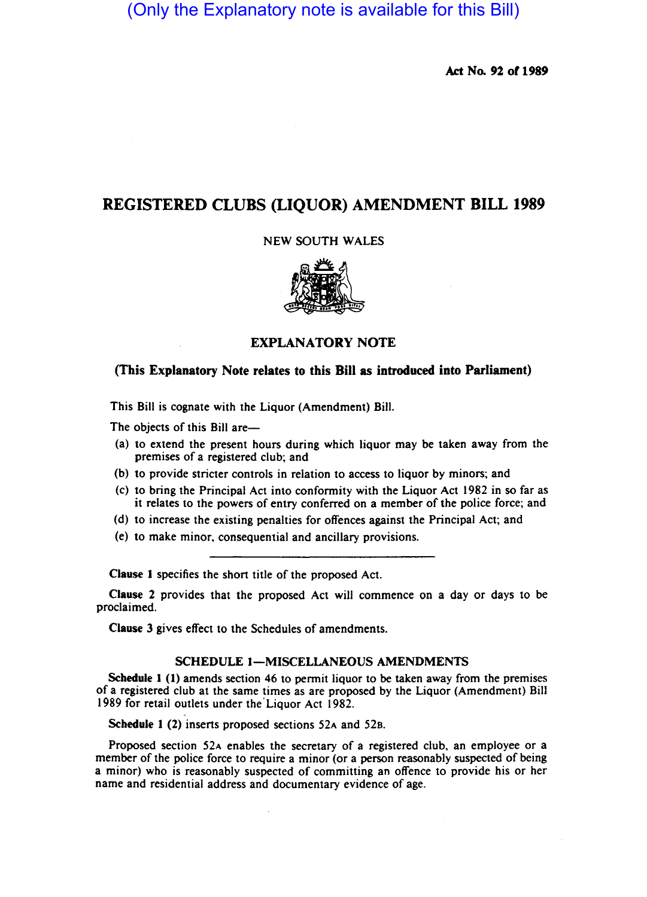# (Only the Explanatory note is available for this Bill)

Act No. 92 of 1989

## REGISTERED CLUBS (LIQUOR) AMENDMENT BILL 1989

NEW SOUTH WALES



### EXPLANATORY NOTE

#### (This Explanatory Note relates to this Bill as introduced into Parliament)

This Bill is cognate with the Liquor (Amendment) Bill.

The objects of this Bill are—

- (a) to extend the present hours during which liquor may be taken away from the premises of a registered club; and
- (b) to provide stricter controls in relation to access to liquor by minors; and
- (c) to bring the Principal Act into conformity with the Liquor Act 1982 in so far as it relates to the powers of entry conferred on a member of the police force; and
- (d) to increase the existing penalties for offences against the Principal Act; and
- (e) to make minor. consequential and ancillary provisions.

Clause I specifies the short title of the proposed Act.

Clause 2 provides that the proposed Act will commence on a day or days to be proclaimed.

Clause 3 gives effect to the Schedules of amendments.

#### SCHEDULE 1-MISCELLANEOUS AMENDMENTS

Schedule I (I) amends section 46 to permit liquor to be taken away from the premises of a registered club at the same times as are proposed by the Liquor (Amendment) Bill 1989 for retail outlets under the' Liquor Act 1982.

Schedule 1 (2) inserts proposed sections 52A and 52B.

Proposed section 52A enables the secretary of a registered club, an employee or a member of the police force to require a minor (or a person reasonably suspected of being a minor) who is reasonably suspected of committing an offence to provide his or her name and residential address and documentary evidence of age.